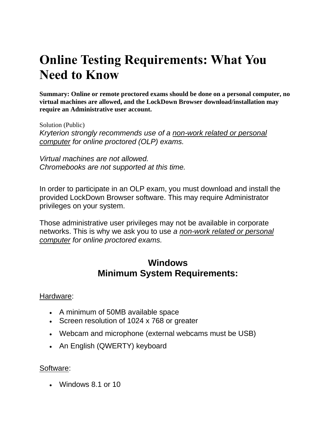# **Online Testing Requirements: What You Need to Know**

**Summary: Online or remote proctored exams should be done on a personal computer, no virtual machines are allowed, and the LockDown Browser download/installation may require an Administrative user account.**

Solution (Public) *Kryterion strongly recommends use of a non-work related or personal computer for online proctored (OLP) exams.*

*Virtual machines are not allowed. Chromebooks are not supported at this time.*

In order to participate in an OLP exam, you must download and install the provided LockDown Browser software. This may require Administrator privileges on your system.

Those administrative user privileges may not be available in corporate networks. This is why we ask you to use *a non-work related or personal computer for online proctored exams.*

## **Windows Minimum System Requirements:**

#### Hardware:

- A minimum of 50MB available space
- Screen resolution of 1024 x 768 or greater
- Webcam and microphone (external webcams must be USB)
- An English (QWERTY) keyboard

#### Software:

• Windows 8.1 or 10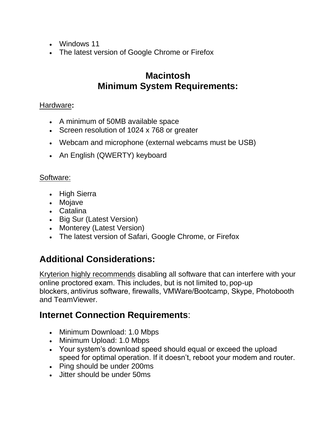- Windows 11
- The latest version of Google Chrome or Firefox

# **Macintosh Minimum System Requirements:**

#### Hardware**:**

- A minimum of 50MB available space
- Screen resolution of 1024 x 768 or greater
- Webcam and microphone (external webcams must be USB)
- An English (QWERTY) keyboard

#### Software:

- High Sierra
- Mojave
- Catalina
- Big Sur (Latest Version)
- Monterey (Latest Version)
- The latest version of Safari, Google Chrome, or Firefox

# **Additional Considerations:**

Kryterion highly recommends disabling all software that can interfere with your online proctored exam. This includes, but is not limited to, pop-up blockers, antivirus software, firewalls, VMWare/Bootcamp, Skype, Photobooth and TeamViewer.

## **Internet Connection Requirements**:

- Minimum Download: 1.0 Mbps
- Minimum Upload: 1.0 Mbps
- Your system's download speed should equal or exceed the upload speed for optimal operation. If it doesn't, reboot your modem and router.
- Ping should be under 200ms
- Jitter should be under 50ms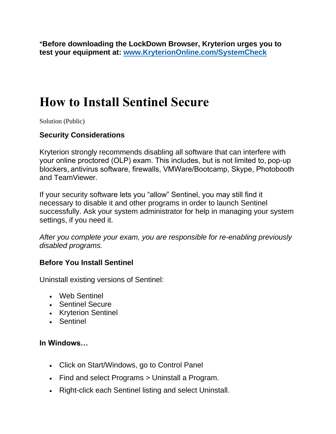\***Before downloading the LockDown Browser, Kryterion urges you to test your equipment at: [www.KryterionOnline.com/SystemCheck](http://www.kryteriononline.com/systemcheck)**

# **How to Install Sentinel Secure**

Solution (Public)

#### **Security Considerations**

Kryterion strongly recommends disabling all software that can interfere with your online proctored (OLP) exam. This includes, but is not limited to, pop-up blockers, antivirus software, firewalls, VMWare/Bootcamp, Skype, Photobooth and TeamViewer.

If your security software lets you "allow" Sentinel, you may still find it necessary to disable it and other programs in order to launch Sentinel successfully. Ask your system administrator for help in managing your system settings, if you need it.

*After you complete your exam, you are responsible for re-enabling previously disabled programs.*

#### **Before You Install Sentinel**

Uninstall existing versions of Sentinel:

- Web Sentinel
- Sentinel Secure
- Kryterion Sentinel
- Sentinel

#### **In Windows…**

- Click on Start/Windows, go to Control Panel
- Find and select Programs > Uninstall a Program.
- Right-click each Sentinel listing and select Uninstall.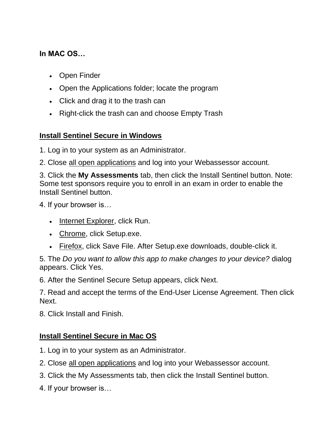#### **In MAC OS…**

- Open Finder
- Open the Applications folder; locate the program
- Click and drag it to the trash can
- Right-click the trash can and choose Empty Trash

#### **Install Sentinel Secure in Windows**

1. Log in to your system as an Administrator.

2. Close all open applications and log into your Webassessor account.

3. Click the **My Assessments** tab, then click the Install Sentinel button. Note: Some test sponsors require you to enroll in an exam in order to enable the Install Sentinel button.

4. If your browser is…

- Internet Explorer, click Run.
- Chrome, click Setup.exe.
- Firefox, click Save File. After Setup.exe downloads, double-click it.

5. The *Do you want to allow this app to make changes to your device?* dialog appears. Click Yes.

6. After the Sentinel Secure Setup appears, click Next.

7. Read and accept the terms of the End-User License Agreement. Then click Next.

8. Click Install and Finish.

#### **Install Sentinel Secure in Mac OS**

- 1. Log in to your system as an Administrator.
- 2. Close all open applications and log into your Webassessor account.
- 3. Click the My Assessments tab, then click the Install Sentinel button.
- 4. If your browser is…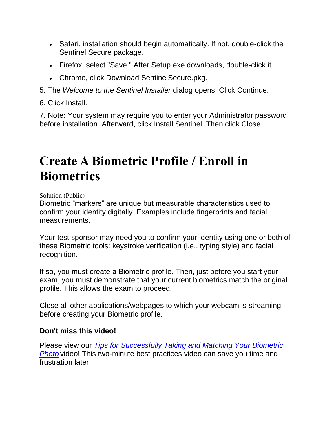- Safari, installation should begin automatically. If not, double-click the Sentinel Secure package.
- Firefox, select "Save." After Setup.exe downloads, double-click it.
- Chrome, click Download SentinelSecure.pkg.

5. The *Welcome to the Sentinel Installer* dialog opens. Click Continue.

6. Click Install.

7. Note: Your system may require you to enter your Administrator password before installation. Afterward, click Install Sentinel. Then click Close.

# **Create A Biometric Profile / Enroll in Biometrics**

Solution (Public)

Biometric "markers" are unique but measurable characteristics used to confirm your identity digitally. Examples include fingerprints and facial measurements.

Your test sponsor may need you to confirm your identity using one or both of these Biometric tools: keystroke verification (i.e., typing style) and facial recognition.

If so, you must create a Biometric profile. Then, just before you start your exam, you must demonstrate that your current biometrics match the original profile. This allows the exam to proceed.

Close all other applications/webpages to which your webcam is streaming before creating your Biometric profile.

#### **Don't miss this video!**

Please view our *[Tips for Successfully Taking and Matching Your Biometric](https://www.youtube.com/watch?v=wv3Rph2FJxw)  [Photo](https://www.youtube.com/watch?v=wv3Rph2FJxw)* video! This two-minute best practices video can save you time and frustration later.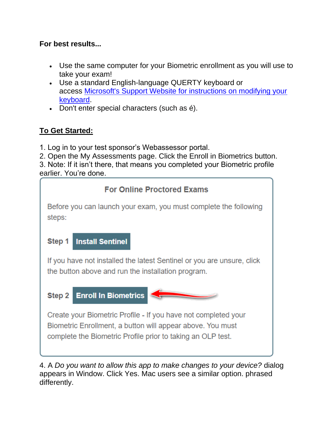#### **For best results...**

- Use the same computer for your Biometric enrollment as you will use to take your exam!
- Use a standard English-language QUERTY keyboard or access [Microsoft's Support Website for instructions on modifying your](https://support.microsoft.com/en-us/office/switch-between-languages-using-the-language-bar-1c2242c0-fe15-4bc3-99bc-535de6f4f258)  [keyboard.](https://support.microsoft.com/en-us/office/switch-between-languages-using-the-language-bar-1c2242c0-fe15-4bc3-99bc-535de6f4f258)
- Don't enter special characters (such as é).

### **To Get Started:**

- 1. Log in to your test sponsor's Webassessor portal.
- 2. Open the My Assessments page. Click the Enroll in Biometrics button.

3. Note: If it isn't there, that means you completed your Biometric profile earlier. You're done.



4. A *Do you want to allow this app to make changes to your device?* dialog appears in Window. Click Yes. Mac users see a similar option. phrased differently.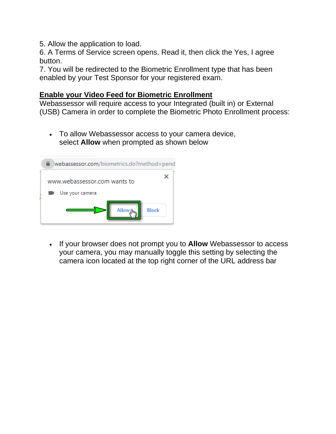5. Allow the application to load.

6. A Terms of Service screen opens. Read it, then click the Yes, I agree button.

7. You will be redirected to the Biometric Enrollment type that has been enabled by your Test Sponsor for your registered exam.

#### **Enable your Video Feed for Biometric Enrollment**

Webassessor will require access to your Integrated (built in) or External (USB) Camera in order to complete the Biometric Photo Enrollment process:

• To allow Webassessor access to your camera device, select **Allow** when prompted as shown below



• If your browser does not prompt you to **Allow** Webassessor to access your camera, you may manually toggle this setting by selecting the camera icon located at the top right corner of the URL address bar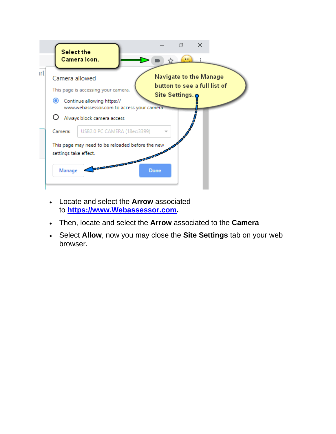

- Locate and select the **Arrow** associated to **[https://www.Webassessor.com.](https://www.webassessor.com/)**
- Then, locate and select the **Arrow** associated to the **Camera**
- Select **Allow**, now you may close the **Site Settings** tab on your web browser.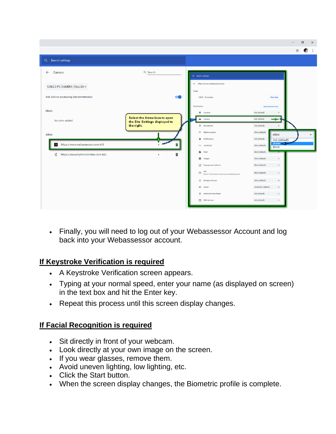|                                         |                                                                                      |                                                                  | O<br>$\times$<br>$\overline{\phantom{0}}$                              |
|-----------------------------------------|--------------------------------------------------------------------------------------|------------------------------------------------------------------|------------------------------------------------------------------------|
|                                         |                                                                                      |                                                                  | ÷<br>☆<br><b>CR</b>                                                    |
| Q Search settings                       |                                                                                      |                                                                  |                                                                        |
| $\leftarrow$<br>Camera                  | Q Search                                                                             | Q Search settings                                                |                                                                        |
| USB2.0 PC CAMERA (18ec:33 =             |                                                                                      | ← https://www.webassessor.com<br>Usage                           |                                                                        |
| Ask before accessing (recommended)      |                                                                                      | 183 B - 12 cookies                                               | Clear data                                                             |
| <b>Block</b>                            |                                                                                      | Permissions<br><b>Q</b> Location                                 | <b>Reset permissions</b><br>Ask (default)                              |
| No sites added                          | <b>Select the Arrow icon to open</b><br>the Site Settings displayed to<br>the right. | <b>E</b> K Camera<br><b>U</b> Microphone                         | Ask (default)<br>Ask (default)                                         |
| Allow                                   |                                                                                      | (4) Motion sensors<br>Notifications<br>▲                         | Allow (default)<br>Allow<br>Ask (default)                              |
| https://www.webassessor.com:443<br>7 kg | $\blacksquare$                                                                       | <> JavaScript                                                    | Ask (default)<br>Allow $\leftarrow$<br>Allow (default)<br><b>Block</b> |
| https://www.kryteriononline.com:443     | î<br>٠                                                                               | *<br>Flash<br>ш<br>Images                                        | <b>Block (default)</b><br>Allow (default)<br>$\check{}$                |
|                                         |                                                                                      | Pop-ups and redirects                                            | $\check{}$<br><b>Block</b> (default)                                   |
|                                         |                                                                                      | Ads<br>$\Box$<br>Block if site shows intrusive or misleading ads | $\check{}$<br><b>Block (default)</b>                                   |
|                                         |                                                                                      | ↓ Background sync<br><br>sound                                   | $\checkmark$<br>Allow (default)<br>Automatic (default)<br>$\check{}$   |
|                                         |                                                                                      | $\triangleq$ Automatic downloads                                 | Ask (default)<br>$\check{\phantom{a}}$                                 |
|                                         |                                                                                      | [11] MIDI devices                                                | Ask (default)<br>$\star$                                               |

• Finally, you will need to log out of your Webassessor Account and log back into your Webassessor account.

#### **If Keystroke Verification is required**

- A Keystroke Verification screen appears.
- Typing at your normal speed, enter your name (as displayed on screen) in the text box and hit the Enter key.
- Repeat this process until this screen display changes.

#### **If Facial Recognition is required**

- Sit directly in front of your webcam.
- Look directly at your own image on the screen.
- If you wear glasses, remove them.
- Avoid uneven lighting, low lighting, etc.
- Click the Start button.
- When the screen display changes, the Biometric profile is complete.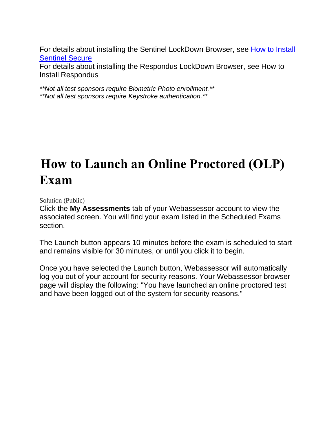For details about installing the Sentinel LockDown Browser, see How to Install [Sentinel Secure](https://kryterion.force.com/support/s/article/Installing-Sentinel-Secure?language=en_US)

For details about installing the Respondus LockDown Browser, see How to Install Respondus

*\*\*Not all test sponsors require Biometric Photo enrollment.\*\* \*\*Not all test sponsors require Keystroke authentication.\*\**

# **How to Launch an Online Proctored (OLP) Exam**

Solution (Public)

Click the **My Assessments** tab of your Webassessor account to view the associated screen. You will find your exam listed in the Scheduled Exams section.

The Launch button appears 10 minutes before the exam is scheduled to start and remains visible for 30 minutes, or until you click it to begin.

Once you have selected the Launch button, Webassessor will automatically log you out of your account for security reasons. Your Webassessor browser page will display the following: "You have launched an online proctored test and have been logged out of the system for security reasons."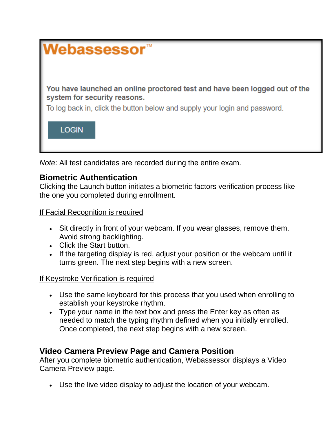

*Note*: All test candidates are recorded during the entire exam.

#### **Biometric Authentication**

Clicking the Launch button initiates a biometric factors verification process like the one you completed during enrollment.

#### If Facial Recognition is required

- Sit directly in front of your webcam. If you wear glasses, remove them. Avoid strong backlighting.
- Click the Start button.
- If the targeting display is red, adjust your position or the webcam until it turns green. The next step begins with a new screen.

#### If Keystroke Verification is required

- Use the same keyboard for this process that you used when enrolling to establish your keystroke rhythm.
- Type your name in the text box and press the Enter key as often as needed to match the typing rhythm defined when you initially enrolled. Once completed, the next step begins with a new screen.

### **Video Camera Preview Page and Camera Position**

After you complete biometric authentication, Webassessor displays a Video Camera Preview page.

• Use the live video display to adjust the location of your webcam.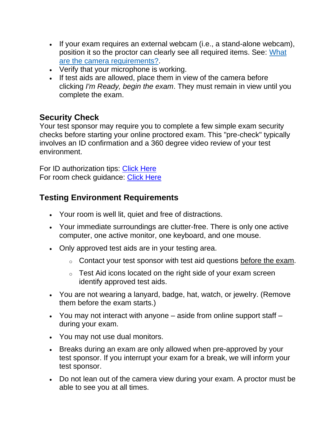- If your exam requires an external webcam (i.e., a stand-alone webcam), position it so the proctor can clearly see all required items. See: [What](https://kryterion.force.com/support/s/article/What-Cameras-and-Camera-Settings-are-Required-for-an-Online-Proctored-OLP-Exam)  [are the camera requirements?.](https://kryterion.force.com/support/s/article/What-Cameras-and-Camera-Settings-are-Required-for-an-Online-Proctored-OLP-Exam)
- Verify that your microphone is working.
- If test aids are allowed, place them in view of the camera before clicking *I'm Ready, begin the exam*. They must remain in view until you complete the exam.

### **Security Check**

Your test sponsor may require you to complete a few simple exam security checks before starting your online proctored exam. This "pre-check" typically involves an ID confirmation and a 360 degree video review of your test environment.

For ID authorization tips: [Click Here](https://www.youtube.com/watch?v=6QR9xpBZJzY) For room check guidance: [Click Here](https://youtu.be/5QSKbcIJHzg)

### **Testing Environment Requirements**

- Your room is well lit, quiet and free of distractions.
- Your immediate surroundings are clutter-free. There is only one active computer, one active monitor, one keyboard, and one mouse.
- Only approved test aids are in your testing area.
	- $\circ$  Contact your test sponsor with test aid questions before the exam.
	- $\circ$  Test Aid icons located on the right side of your exam screen identify approved test aids.
- You are not wearing a lanyard, badge, hat, watch, or jewelry. (Remove them before the exam starts.)
- You may not interact with anyone aside from online support staff during your exam.
- You may not use dual monitors.
- Breaks during an exam are only allowed when pre-approved by your test sponsor. If you interrupt your exam for a break, we will inform your test sponsor.
- Do not lean out of the camera view during your exam. A proctor must be able to see you at all times.